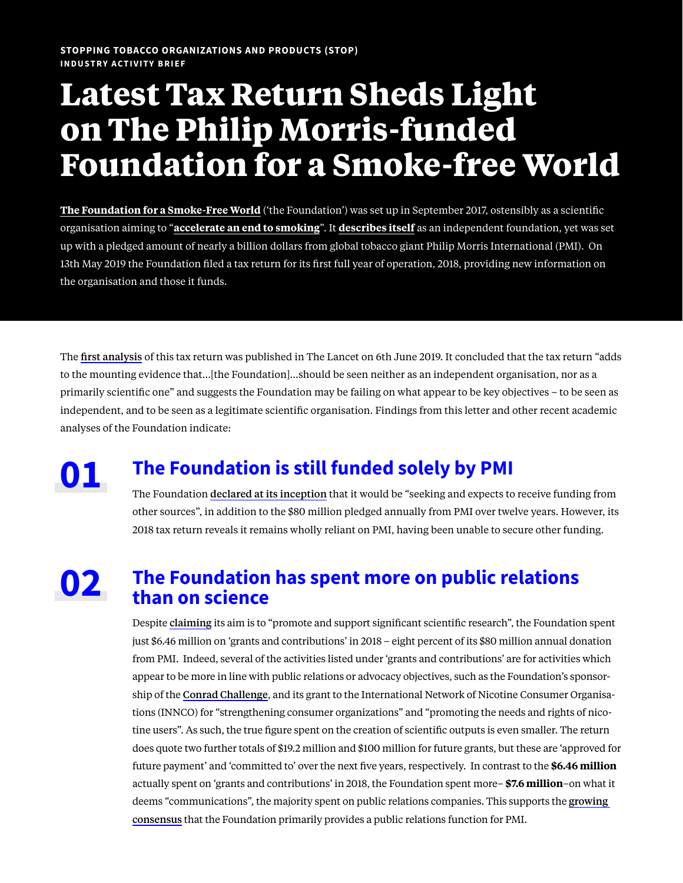# **Latest Tax Return Sheds Light on The Philip Morris-funded Foundation for a Smoke-free World**

**[The Foundation for a Smoke-Free World](https://tobaccotactics.org/index.php?title=Foundation_for_a_Smoke-Free_World)** ('the Foundation') was set up in September 2017, ostensibly as a scientific organisation aiming to "**[accelerate an end to smoking](http://web.archive.org/web/20190416105839/https:/www.smokefreeworld.org/newsroom/global-foundation-launches-accelerate-end-smoking)**". It **[describes itself](https://web.archive.org/web/20190420133642/https:/www.smokefreeworld.org/our-vision)** as an independent foundation, yet was set up with a pledged amount of nearly a billion dollars from global tobacco giant Philip Morris International (PMI). On 13th May 2019 the Foundation filed a tax return for its first full year of operation, 2018, providing new information on the organisation and those it funds.

The [first analysis](https://www.thelancet.com/journals/lancet/article/PIIS0140-6736(19)31347-9/fulltext) of this tax return was published in The Lancet on 6th June 2019. It concluded that the tax return "adds to the mounting evidence that…[the Foundation]…should be seen neither as an independent organisation, nor as a primarily scientific one" and suggests the Foundation may be failing on what appear to be key objectives – to be seen as independent, and to be seen as a legitimate scientific organisation. Findings from this letter and other recent academic analyses of the Foundation indicate:

**01**

## **The Foundation is still funded solely by PMI**

The Foundation [declared at its inception](http://web.archive.org/web/20190523153208/https:/www.smokefreeworld.org/our-vision/funding) that it would be "seeking and expects to receive funding from other sources", in addition to the \$80 million pledged annually from PMI over twelve years. However, its 2018 tax return reveals it remains wholly reliant on PMI, having been unable to secure other funding.

**02**

### **The Foundation has spent more on public relations than on science**

Despite [claiming](http://web.archive.org/web/20190607115237/https:/www.smokefreeworld.org/sites/default/files/uploads/foundation_for_a_smoke-free_world_inc._-_first_amended_and_restated_bylaws.pdf) its aim is to "promote and support significant scientific research", the Foundation spent just \$6.46 million on 'grants and contributions' in 2018 – eight percent of its \$80 million annual donation from PMI. Indeed, several of the activities listed under 'grants and contributions' are for activities which appear to be more in line with public relations or advocacy objectives, such as the Foundation's sponsorship of the [Conrad Challenge](https://web.archive.org/web/20190610121819/https:/www.conradchallenge.org/smokefree-world), and its grant to the International Network of Nicotine Consumer Organisations (INNCO) for "strengthening consumer organizations" and "promoting the needs and rights of nicotine users". As such, the true figure spent on the creation of scientific outputs is even smaller. The return does quote two further totals of \$19.2 million and \$100 million for future grants, but these are 'approved for future payment' and 'committed to' over the next five years, respectively. In contrast to the **\$6.46 million** actually spent on 'grants and contributions' in 2018, the Foundation spent more– **\$7.6 million**–on what it deems "communications", the majority spent on public relations companies. This supports the [growing](https://ggtc.world/2019/01/28/an-open-letter-to-the-director-general-and-executive-board-of-the-world-health-organization/)  [consensus](https://ggtc.world/2019/01/28/an-open-letter-to-the-director-general-and-executive-board-of-the-world-health-organization/) that the Foundation primarily provides a public relations function for PMI.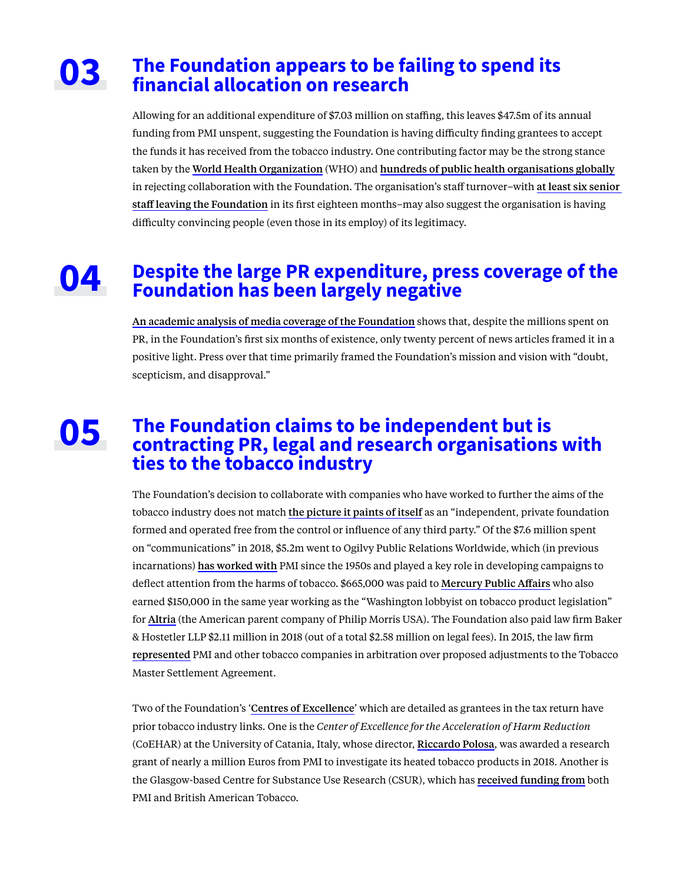#### **The Foundation appears to be failing to spend its financial allocation on research 03**

Allowing for an additional expenditure of \$7.03 million on staffing, this leaves \$47.5m of its annual funding from PMI unspent, suggesting the Foundation is having difficulty finding grantees to accept the funds it has received from the tobacco industry. One contributing factor may be the strong stance taken by the [World Health Organization](https://www.who.int/news-room/detail/28-09-2017-who-statement-on-philip-morris-funded-foundation-for-a-smoke-free-world) (WHO) and [hundreds of public health organisations globally](https://ggtc.world/2019/01/28/an-open-letter-to-the-director-general-and-executive-board-of-the-world-health-organization/) in rejecting collaboration with the Foundation. The organisation's staff turnover–with [at least six senior](https://tobaccotactics.org/index.php?title=Foundation_for_a_Smoke-Free_World_People)  [staff leaving the Foundation](https://tobaccotactics.org/index.php?title=Foundation_for_a_Smoke-Free_World_People) in its first eighteen months–may also suggest the organisation is having difficulty convincing people (even those in its employ) of its legitimacy.

# **04**

### **Despite the large PR expenditure, press coverage of the Foundation has been largely negative**

[An academic analysis of media coverage of the Foundation](https://publichealth.jmir.org/2019/2/e14067/pdf) shows that, despite the millions spent on PR, in the Foundation's first six months of existence, only twenty percent of news articles framed it in a positive light. Press over that time primarily framed the Foundation's mission and vision with "doubt, scepticism, and disapproval."

# **05**

### **The Foundation claims to be independent but is contracting PR, legal and research organisations with ties to the tobacco industry**

The Foundation's decision to collaborate with companies who have worked to further the aims of the tobacco industry does not match [the picture it paints of itself](http://web.archive.org/web/20190610081129/https:/global-poll-data.smokefreeworld.org/Doc/2018%20State%20of%20Smoking%20Survey%20Findings%20and%20Insights.pdf) as an "independent, private foundation formed and operated free from the control or influence of any third party." Of the \$7.6 million spent on "communications" in 2018, \$5.2m went to Ogilvy Public Relations Worldwide, which (in previous incarnations) [has worked with](https://www.tobaccotactics.org/index.php/Ogilvy_Group#cite_note-35) PMI since the 1950s and played a key role in developing campaigns to deflect attention from the harms of tobacco. \$665,000 was paid to [Mercury Public Affairs](https://www.tobaccotactics.org/index.php?title=Mercury) who also earned \$150,000 in the same year working as the "Washington lobbyist on tobacco product legislation" for [Altria](https://www.tobaccotactics.org/index.php?title=Altria) (the American parent company of Philip Morris USA). The Foundation also paid law firm Baker & Hostetler LLP \$2.11 million in 2018 (out of a total \$2.58 million on legal fees). In 2015, the law firm [represented](https://www.tobaccotactics.org/index.php?title=Foundation_for_a_Smoke-Free_World) PMI and other tobacco companies in arbitration over proposed adjustments to the Tobacco Master Settlement Agreement.

Two of the Foundation's '[Centres of Excellence](https://tobaccotactics.org/index.php?title=Foundation_for_a_Smoke-Free_World_Centres_of_Excellence)' which are detailed as grantees in the tax return have prior tobacco industry links. One is the *Center of Excellence for the Acceleration of Harm Reduction* (CoEHAR) at the University of Catania, Italy, whose director, [Riccardo Polosa](https://www.tobaccotactics.org/index.php/Riccardo_Polosa), was awarded a research grant of nearly a million Euros from PMI to investigate its heated tobacco products in 2018. Another is the Glasgow-based Centre for Substance Use Research (CSUR), which has [received funding from](https://web.archive.org/web/20190523225500/https:/www.csures.com/funding) both PMI and British American Tobacco.